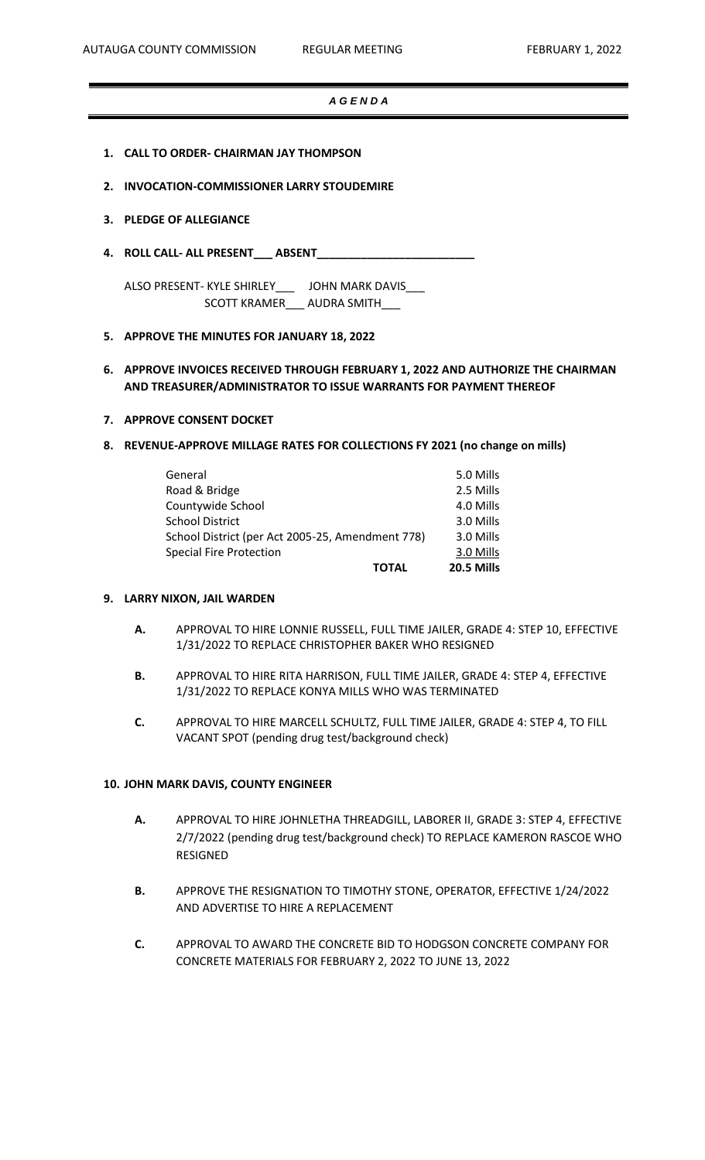## *A G E N D A*

- **1. CALL TO ORDER- CHAIRMAN JAY THOMPSON**
- **2. INVOCATION-COMMISSIONER LARRY STOUDEMIRE**

#### **3. PLEDGE OF ALLEGIANCE**

**4. ROLL CALL- ALL PRESENT\_\_\_ ABSENT\_\_\_\_\_\_\_\_\_\_\_\_\_\_\_\_\_\_\_\_\_\_\_\_\_**

ALSO PRESENT- KYLE SHIRLEY\_\_\_ JOHN MARK DAVIS\_\_\_ SCOTT KRAMER\_\_\_ AUDRA SMITH\_\_\_

**5. APPROVE THE MINUTES FOR JANUARY 18, 2022** 

# **6. APPROVE INVOICES RECEIVED THROUGH FEBRUARY 1, 2022 AND AUTHORIZE THE CHAIRMAN AND TREASURER/ADMINISTRATOR TO ISSUE WARRANTS FOR PAYMENT THEREOF**

- **7. APPROVE CONSENT DOCKET**
- **8. REVENUE-APPROVE MILLAGE RATES FOR COLLECTIONS FY 2021 (no change on mills)**

|                                                  | <b>TOTAL</b> | 20.5 Mills |
|--------------------------------------------------|--------------|------------|
| <b>Special Fire Protection</b>                   |              | 3.0 Mills  |
| School District (per Act 2005-25, Amendment 778) |              | 3.0 Mills  |
| <b>School District</b>                           |              | 3.0 Mills  |
| Countywide School                                |              | 4.0 Mills  |
| Road & Bridge                                    |              | 2.5 Mills  |
| General                                          |              | 5.0 Mills  |

#### **9. LARRY NIXON, JAIL WARDEN**

- **A.** APPROVAL TO HIRE LONNIE RUSSELL, FULL TIME JAILER, GRADE 4: STEP 10, EFFECTIVE 1/31/2022 TO REPLACE CHRISTOPHER BAKER WHO RESIGNED
- **B.** APPROVAL TO HIRE RITA HARRISON, FULL TIME JAILER, GRADE 4: STEP 4, EFFECTIVE 1/31/2022 TO REPLACE KONYA MILLS WHO WAS TERMINATED
- **C.** APPROVAL TO HIRE MARCELL SCHULTZ, FULL TIME JAILER, GRADE 4: STEP 4, TO FILL VACANT SPOT (pending drug test/background check)

#### **10. JOHN MARK DAVIS, COUNTY ENGINEER**

- **A.** APPROVAL TO HIRE JOHNLETHA THREADGILL, LABORER II, GRADE 3: STEP 4, EFFECTIVE 2/7/2022 (pending drug test/background check) TO REPLACE KAMERON RASCOE WHO RESIGNED
- **B.** APPROVE THE RESIGNATION TO TIMOTHY STONE, OPERATOR, EFFECTIVE 1/24/2022 AND ADVERTISE TO HIRE A REPLACEMENT
- **C.** APPROVAL TO AWARD THE CONCRETE BID TO HODGSON CONCRETE COMPANY FOR CONCRETE MATERIALS FOR FEBRUARY 2, 2022 TO JUNE 13, 2022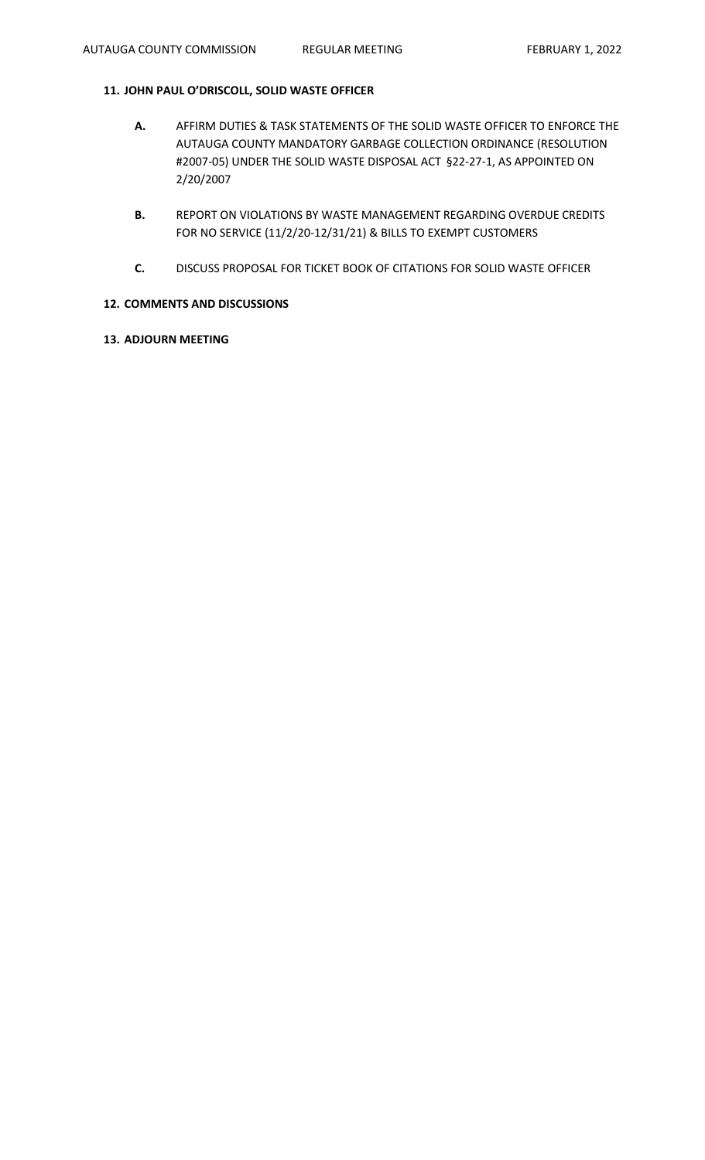# **11. JOHN PAUL O'DRISCOLL, SOLID WASTE OFFICER**

- **A.** AFFIRM DUTIES & TASK STATEMENTS OF THE SOLID WASTE OFFICER TO ENFORCE THE AUTAUGA COUNTY MANDATORY GARBAGE COLLECTION ORDINANCE (RESOLUTION #2007-05) UNDER THE SOLID WASTE DISPOSAL ACT §22-27-1, AS APPOINTED ON 2/20/2007
- **B.** REPORT ON VIOLATIONS BY WASTE MANAGEMENT REGARDING OVERDUE CREDITS FOR NO SERVICE (11/2/20-12/31/21) & BILLS TO EXEMPT CUSTOMERS
- **C.** DISCUSS PROPOSAL FOR TICKET BOOK OF CITATIONS FOR SOLID WASTE OFFICER

# **12. COMMENTS AND DISCUSSIONS**

**13. ADJOURN MEETING**